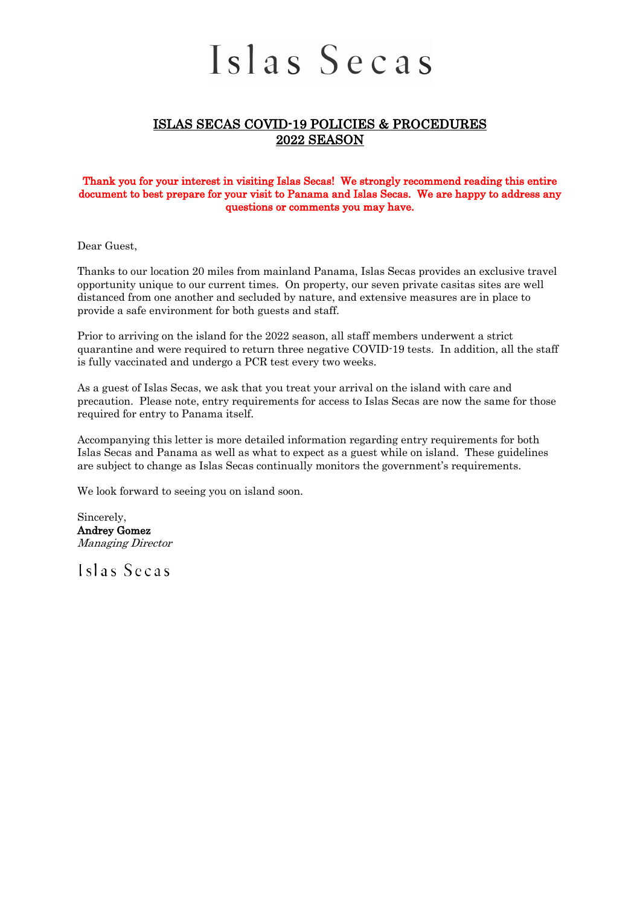## Islas Secas

## ISLAS SECAS COVID-19 POLICIES & PROCEDURES 2022 SEASON

#### Thank you for your interest in visiting Islas Secas! We strongly recommend reading this entire document to best prepare for your visit to Panama and Islas Secas. We are happy to address any questions or comments you may have.

Dear Guest,

Thanks to our location 20 miles from mainland Panama, Islas Secas provides an exclusive travel opportunity unique to our current times. On property, our seven private casitas sites are well distanced from one another and secluded by nature, and extensive measures are in place to provide a safe environment for both guests and staff.

Prior to arriving on the island for the 2022 season, all staff members underwent a strict quarantine and were required to return three negative COVID-19 tests. In addition, all the staff is fully vaccinated and undergo a PCR test every two weeks.

As a guest of Islas Secas, we ask that you treat your arrival on the island with care and precaution. Please note, entry requirements for access to Islas Secas are now the same for those required for entry to Panama itself.

Accompanying this letter is more detailed information regarding entry requirements for both Islas Secas and Panama as well as what to expect as a guest while on island. These guidelines are subject to change as Islas Secas continually monitors the government's requirements.

We look forward to seeing you on island soon.

Sincerely, Andrey Gomez Managing Director

Islas Secas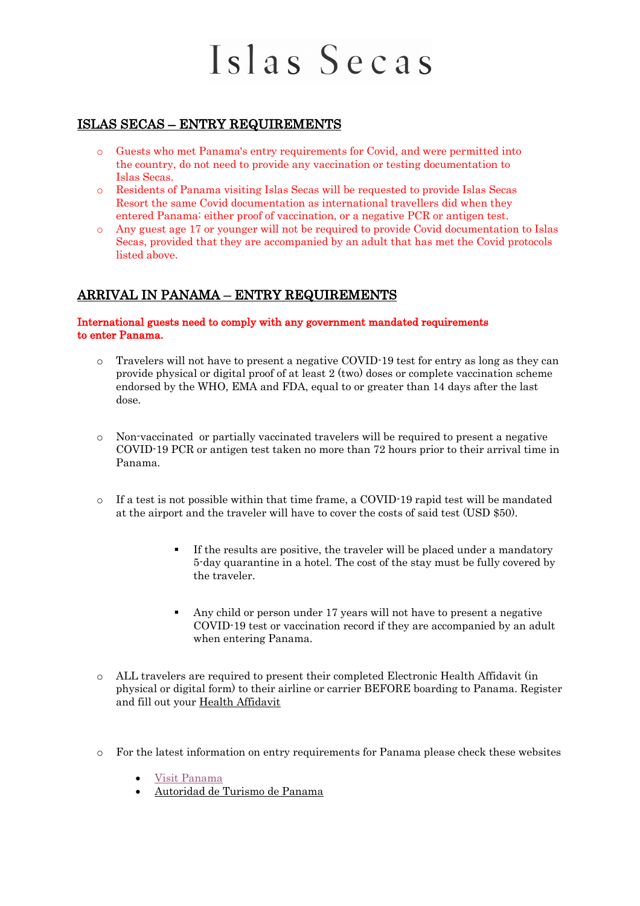## Islas Secas

## ISLAS SECAS – ENTRY REQUIREMENTS

- o Guests who met Panama's entry requirements for Covid, and were permitted into the country, do not need to provide any vaccination or testing documentation to Islas Secas.
- o Residents of Panama visiting Islas Secas will be requested to provide Islas Secas Resort the same Covid documentation as international travellers did when they entered Panama: either proof of vaccination, or a negative PCR or antigen test.
- o Any guest age 17 or younger will not be required to provide Covid documentation to Islas Secas, provided that they are accompanied by an adult that has met the Covid protocols listed above.

## ARRIVAL IN PANAMA – ENTRY REQUIREMENTS

#### International guests need to comply with any government mandated requirements to enter Panama.

- o Travelers will not have to present a negative COVID-19 test for entry as long as they can provide physical or digital proof of at least 2 (two) doses or complete vaccination scheme endorsed by the WHO, EMA and FDA, equal to or greater than 14 days after the last dose.
- o Non-vaccinated or partially vaccinated travelers will be required to present a negative COVID-19 PCR or antigen test taken no more than 72 hours prior to their arrival time in Panama.
- o If a test is not possible within that time frame, a COVID-19 rapid test will be mandated at the airport and the traveler will have to cover the costs of said test (USD \$50).
	- § If the results are positive, the traveler will be placed under a mandatory 5-day quarantine in a hotel. The cost of the stay must be fully covered by the traveler.
	- § Any child or person under 17 years will not have to present a negative COVID-19 test or vaccination record if they are accompanied by an adult when entering Panama.
- o ALL travelers are required to present their completed Electronic Health Affidavit (in physical or digital form) to their airline or carrier BEFORE boarding to Panama. Register and fill out your Health Affidavit
- o For the latest information on entry requirements for Panama please check these websites
	- Visit Panama
	- Autoridad de Turismo de Panama